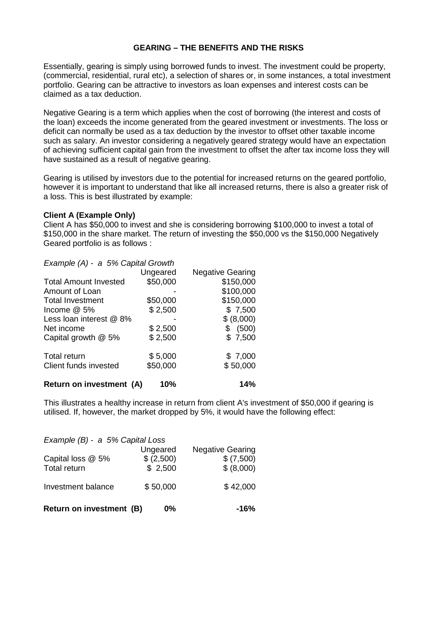## **GEARING – THE BENEFITS AND THE RISKS**

Essentially, gearing is simply using borrowed funds to invest. The investment could be property, (commercial, residential, rural etc), a selection of shares or, in some instances, a total investment portfolio. Gearing can be attractive to investors as loan expenses and interest costs can be claimed as a tax deduction.

Negative Gearing is a term which applies when the cost of borrowing (the interest and costs of the loan) exceeds the income generated from the geared investment or investments. The loss or deficit can normally be used as a tax deduction by the investor to offset other taxable income such as salary. An investor considering a negatively geared strategy would have an expectation of achieving sufficient capital gain from the investment to offset the after tax income loss they will have sustained as a result of negative gearing.

Gearing is utilised by investors due to the potential for increased returns on the geared portfolio, however it is important to understand that like all increased returns, there is also a greater risk of a loss. This is best illustrated by example:

## **Client A (Example Only)**

Client A has \$50,000 to invest and she is considering borrowing \$100,000 to invest a total of \$150,000 in the share market. The return of investing the \$50,000 vs the \$150,000 Negatively Geared portfolio is as follows :

|  |  | Example (A) - a 5% Capital Growth |
|--|--|-----------------------------------|
|--|--|-----------------------------------|

|                              | Ungeared | <b>Negative Gearing</b> |
|------------------------------|----------|-------------------------|
| <b>Total Amount Invested</b> | \$50,000 | \$150,000               |
| Amount of Loan               |          | \$100,000               |
| <b>Total Investment</b>      | \$50,000 | \$150,000               |
| Income $@$ 5%                | \$2,500  | \$7,500                 |
| Less loan interest @ 8%      |          | \$ (8,000)              |
| Net income                   | \$2,500  | \$ (500)                |
| Capital growth @ 5%          | \$2,500  | \$7,500                 |
| <b>Total return</b>          | \$5,000  | \$7,000                 |
| Client funds invested        | \$50,000 | \$50,000                |
| Return on investment (A)     | 10%      | 14%                     |

This illustrates a healthy increase in return from client A's investment of \$50,000 if gearing is utilised. If, however, the market dropped by 5%, it would have the following effect:

| Return on investment (B)          | -16%                              |                                                     |
|-----------------------------------|-----------------------------------|-----------------------------------------------------|
| Investment balance                | \$50,000                          | \$42,000                                            |
| Capital loss @ 5%<br>Total return | Ungeared<br>\$ (2,500)<br>\$2,500 | <b>Negative Gearing</b><br>\$ (7,500)<br>\$ (8,000) |
| Example (B) - a 5% Capital Loss   |                                   |                                                     |